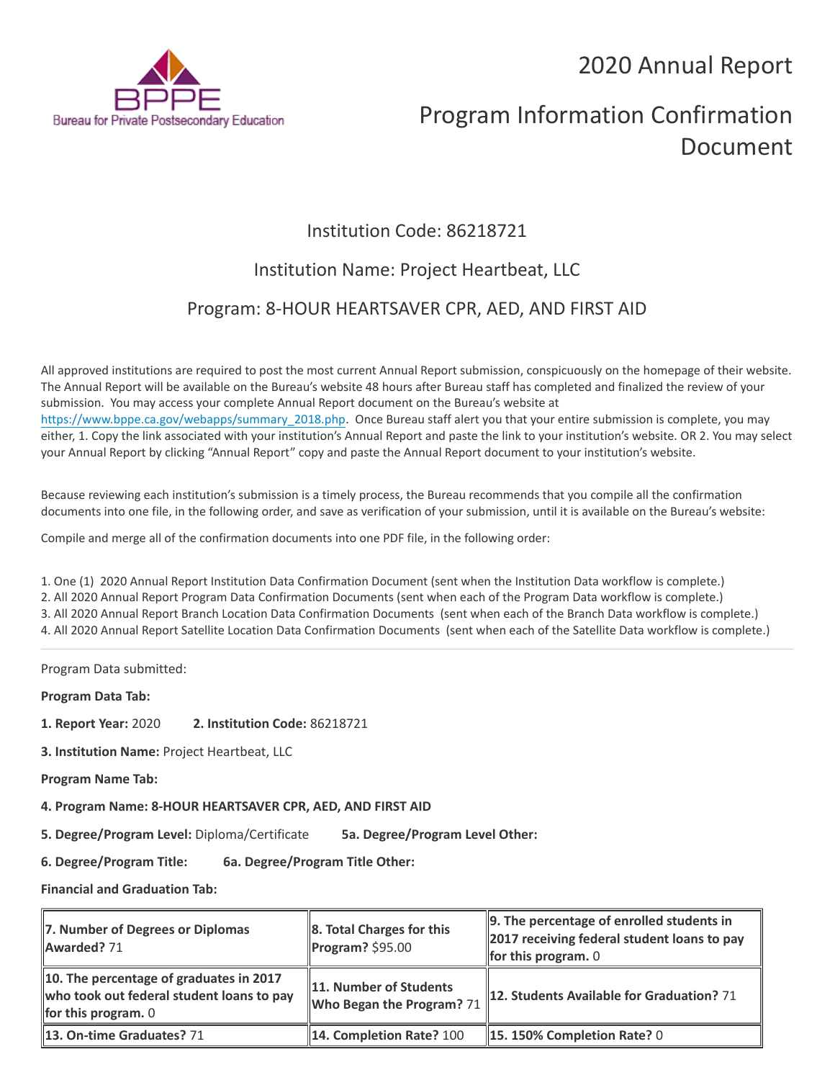2020 Annual Report



# Program Information Confirmation Document

## Institution Code: 86218721

## Institution Name: Project Heartbeat, LLC

### Program: 8-HOUR HEARTSAVER CPR, AED, AND FIRST AID

All approved institutions are required to post the most current Annual Report submission, conspicuously on the homepage of their website. The Annual Report will be available on the Bureau's website 48 hours after Bureau staff has completed and finalized the review of your submission. You may access your complete Annual Report document on the Bureau's website at [https://www.bppe.ca.gov/webapps/summary\\_2018.php.](https://www.bppe.ca.gov/webapps/summary_2018.php) Once Bureau staff alert you that your entire submission is complete, you may either, 1. Copy the link associated with your institution's Annual Report and paste the link to your institution's website. OR 2. You may select your Annual Report by clicking "Annual Report" copy and paste the Annual Report document to your institution's website.

Because reviewing each institution's submission is a timely process, the Bureau recommends that you compile all the confirmation documents into one file, in the following order, and save as verification of your submission, until it is available on the Bureau's website:

Compile and merge all of the confirmation documents into one PDF file, in the following order:

1. One (1) 2020 Annual Report Institution Data Confirmation Document (sent when the Institution Data workflow is complete.) 2. All 2020 Annual Report Program Data Confirmation Documents (sent when each of the Program Data workflow is complete.) 3. All 2020 Annual Report Branch Location Data Confirmation Documents (sent when each of the Branch Data workflow is complete.) 4. All 2020 Annual Report Satellite Location Data Confirmation Documents (sent when each of the Satellite Data workflow is complete.)

Program Data submitted:

**Program Data Tab:**

- **1. Report Year:** 2020 **2. Institution Code:** 86218721
- **3. Institution Name:** Project Heartbeat, LLC
- **Program Name Tab:**

**4. Program Name: 8-HOUR HEARTSAVER CPR, AED, AND FIRST AID** 

**5. Degree/Program Level:** Diploma/Certificate **5a. Degree/Program Level Other:**

**6. Degree/Program Title: 6a. Degree/Program Title Other:**

**Financial and Graduation Tab:**

| 7. Number of Degrees or Diplomas<br>Awarded? 71                                                               | $\ $ 8. Total Charges for this<br>$\blacksquare$ Program? \$95.00 | 9. The percentage of enrolled students in<br>2017 receiving federal student loans to pay<br>for this program. $0$ |
|---------------------------------------------------------------------------------------------------------------|-------------------------------------------------------------------|-------------------------------------------------------------------------------------------------------------------|
| 10. The percentage of graduates in 2017<br>who took out federal student loans to pay<br>for this program. $0$ | 11. Number of Students<br><b>Who Began the Program?</b> 71        | 12. Students Available for Graduation? 71                                                                         |
| 13. On-time Graduates? 71                                                                                     | 14. Completion Rate? 100                                          | 15.150% Completion Rate? 0                                                                                        |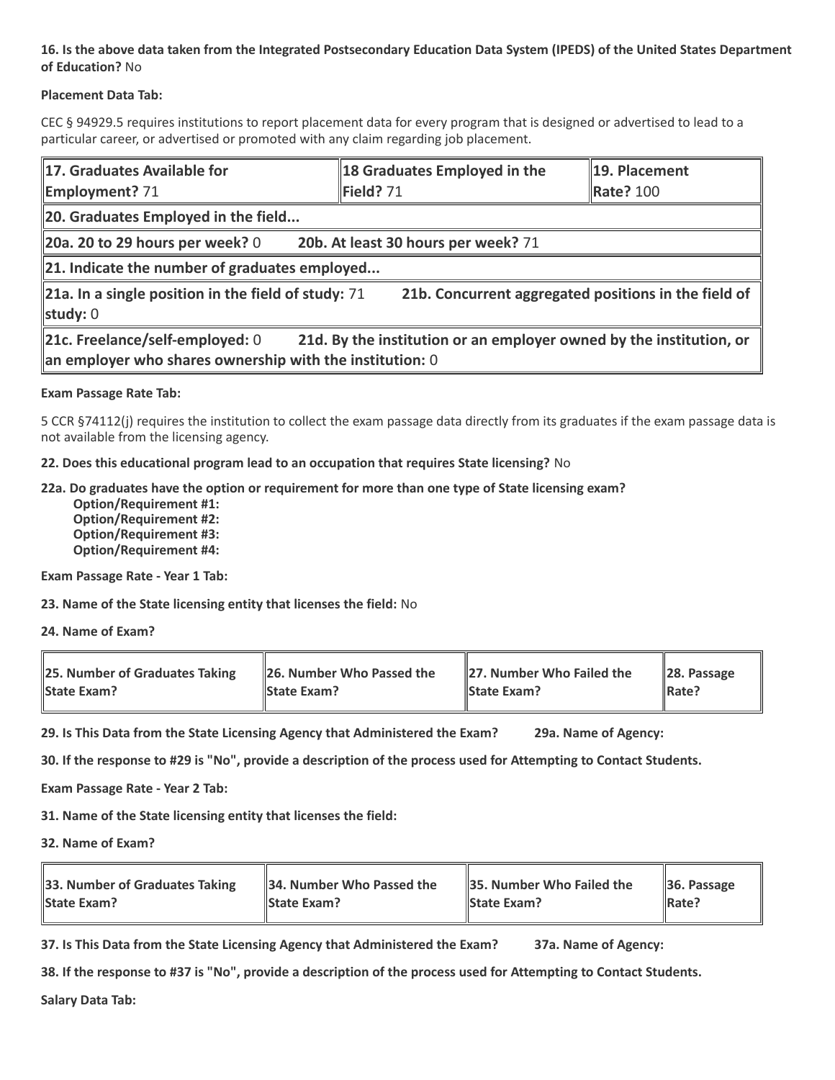#### **16. Is the above data taken from the Integrated Postsecondary Education Data System (IPEDS) of the United States Department of Education?** No

#### **Placement Data Tab:**

CEC § 94929.5 requires institutions to report placement data for every program that is designed or advertised to lead to a particular career, or advertised or promoted with any claim regarding job placement.

| 17. Graduates Available for<br><b>Employment? 71</b>                                                                                                                 | 18 Graduates Employed in the<br>Field? 71 | 19. Placement<br>Rate? 100 |  |  |  |
|----------------------------------------------------------------------------------------------------------------------------------------------------------------------|-------------------------------------------|----------------------------|--|--|--|
| 20. Graduates Employed in the field                                                                                                                                  |                                           |                            |  |  |  |
| 20b. At least 30 hours per week? 71<br>$20a$ . 20 to 29 hours per week? 0                                                                                            |                                           |                            |  |  |  |
| 21. Indicate the number of graduates employed                                                                                                                        |                                           |                            |  |  |  |
| 21a. In a single position in the field of study: $71$<br>21b. Concurrent aggregated positions in the field of<br>study: 0                                            |                                           |                            |  |  |  |
| 21c. Freelance/self-employed: 0<br>21d. By the institution or an employer owned by the institution, or<br>an employer who shares ownership with the institution: $0$ |                                           |                            |  |  |  |

#### **Exam Passage Rate Tab:**

5 CCR §74112(j) requires the institution to collect the exam passage data directly from its graduates if the exam passage data is not available from the licensing agency.

**22. Does this educational program lead to an occupation that requires State licensing?** No

#### **22a. Do graduates have the option or requirement for more than one type of State licensing exam?**

 **Option/Requirement #1: Option/Requirement #2: Option/Requirement #3: Option/Requirement #4:**

**Exam Passage Rate - Year 1 Tab:**

**23. Name of the State licensing entity that licenses the field:** No

**24. Name of Exam?**

| 25. Number of Graduates Taking | 26. Number Who Passed the | 27. Number Who Failed the | $\ $ 28. Passage |
|--------------------------------|---------------------------|---------------------------|------------------|
| <b>State Exam?</b>             | <b>State Exam?</b>        | <b>State Exam?</b>        | Rate?            |

**29. Is This Data from the State Licensing Agency that Administered the Exam? 29a. Name of Agency:**

**30. If the response to #29 is "No", provide a description of the process used for Attempting to Contact Students.**

**Exam Passage Rate - Year 2 Tab:**

**31. Name of the State licensing entity that licenses the field:**

**32. Name of Exam?**

| 33. Number of Graduates Taking | 34. Number Who Passed the | <b>35. Number Who Failed the</b> | $\parallel$ 36. Passage |
|--------------------------------|---------------------------|----------------------------------|-------------------------|
| <b>State Exam?</b>             | <b>State Exam?</b>        | <b>State Exam?</b>               | $\parallel$ Rate?       |

**37. Is This Data from the State Licensing Agency that Administered the Exam? 37a. Name of Agency:**

**38. If the response to #37 is "No", provide a description of the process used for Attempting to Contact Students.** 

**Salary Data Tab:**